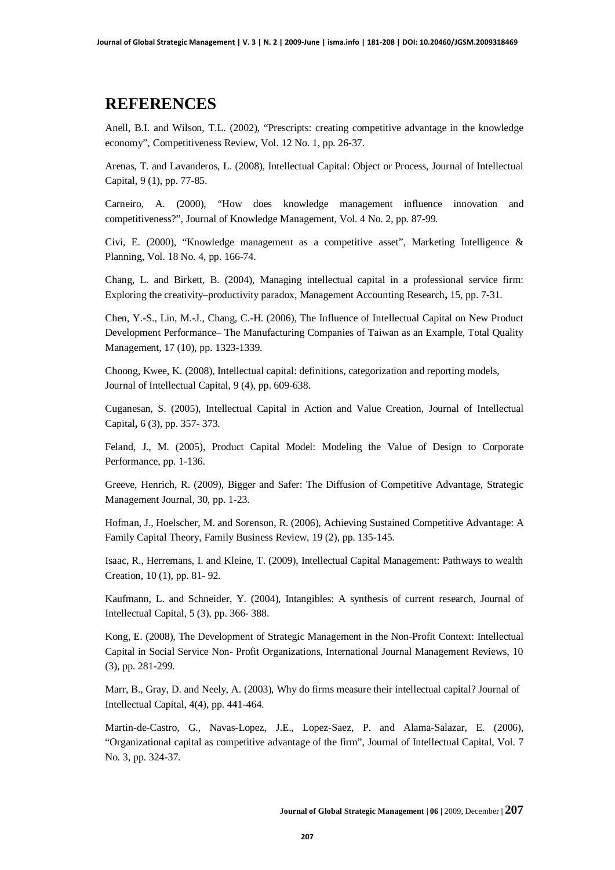## **REFERENCES**

Anell, B.I. and Wilson, T.L. (2002), "Prescripts: creating competitive advantage in the knowledge economy", Competitiveness Review, Vol. 12 No. 1, pp. 26-37.

Arenas, T. and Lavanderos, L. (2008), Intellectual Capital: Object or Process, Journal of Intellectual Capital, 9 (1), pp. 77-85.

Carneiro, A. (2000), "How does knowledge management influence innovation and competitiveness?", Journal of Knowledge Management, Vol. 4 No. 2, pp. 87-99.

Civi, E. (2000), "Knowledge management as a competitive asset", Marketing Intelligence & Planning, Vol. 18 No. 4, pp. 166-74.

Chang, L. and Birkett, B. (2004), Managing intellectual capital in a professional service firm: Exploring the creativity–productivity paradox, Management Accounting Research**,** 15, pp. 7-31.

Chen, Y.-S., Lin, M.-J., Chang, C.-H. (2006), The Influence of Intellectual Capital on New Product Development Performance– The Manufacturing Companies of Taiwan as an Example, Total Quality Management, 17 (10), pp. 1323-1339.

Choong, Kwee, K. (2008), Intellectual capital: definitions, categorization and reporting models, Journal of Intellectual Capital, 9 (4), pp. 609-638.

Cuganesan, S. (2005), Intellectual Capital in Action and Value Creation, Journal of Intellectual Capital**,** 6 (3), pp. 357- 373.

Feland, J., M. (2005), Product Capital Model: Modeling the Value of Design to Corporate Performance, pp. 1-136.

Greeve, Henrich, R. (2009), Bigger and Safer: The Diffusion of Competitive Advantage, Strategic Management Journal, 30, pp. 1-23.

Hofman, J., Hoelscher, M. and Sorenson, R. (2006), Achieving Sustained Competitive Advantage: A Family Capital Theory, Family Business Review, 19 (2), pp. 135-145.

Isaac, R., Herremans, I. and Kleine, T. (2009), Intellectual Capital Management: Pathways to wealth Creation, 10 (1), pp. 81- 92.

Kaufmann, L. and Schneider, Y. (2004), Intangibles: A synthesis of current research, Journal of Intellectual Capital, 5 (3), pp. 366- 388.

Kong, E. (2008), The Development of Strategic Management in the Non-Profit Context: Intellectual Capital in Social Service Non- Profit Organizations, International Journal Management Reviews, 10 (3), pp. 281-299.

Marr, B., Gray, D. and Neely, A. (2003), Why do firms measure their intellectual capital? Journal of Intellectual Capital, 4(4), pp. 441-464.

Martin-de-Castro, G., Navas-Lopez, J.E., Lopez-Saez, P. and Alama-Salazar, E. (2006), "Organizational capital as competitive advantage of the firm", Journal of Intellectual Capital, Vol. 7 No. 3, pp. 324-37.